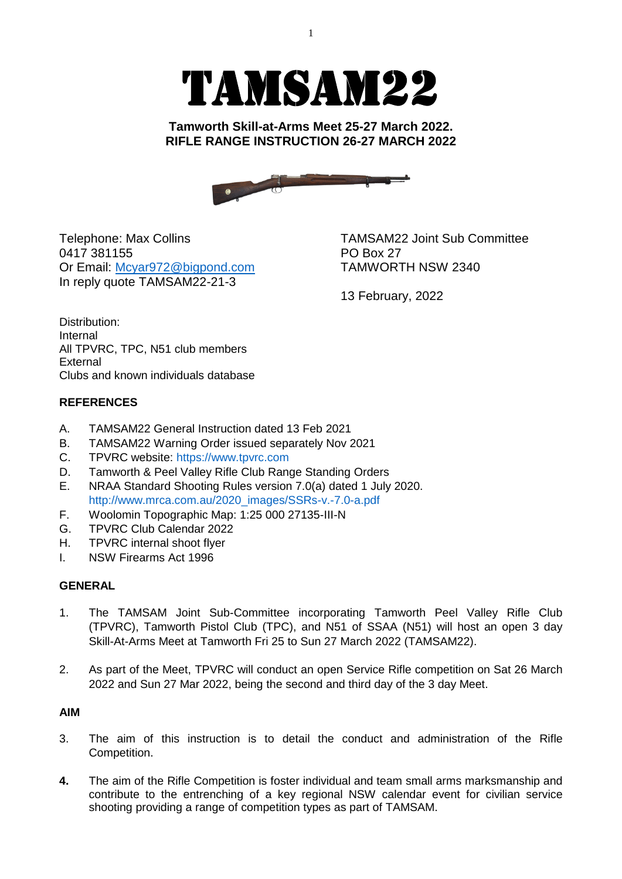# TAMSAM22

**Tamworth Skill-at-Arms Meet 25-27 March 2022. RIFLE RANGE INSTRUCTION 26-27 MARCH 2022**

Telephone: Max Collins TAMSAM22 Joint Sub Committee 0417 381155 PO Box 27 Or Email: [Mcyar972@bigpond.com](mailto:Mcyar972@bigpond.com) TAMWORTH NSW 2340 In reply quote TAMSAM22-21-3

13 February, 2022

Distribution: Internal All TPVRC, TPC, N51 club members External Clubs and known individuals database

### **REFERENCES**

- A. TAMSAM22 General Instruction dated 13 Feb 2021
- B. TAMSAM22 Warning Order issued separately Nov 2021
- C. TPVRC website: [https://www.tpvrc.com](https://www.tpvrc.com/)
- D. Tamworth & Peel Valley Rifle Club Range Standing Orders
- E. NRAA Standard Shooting Rules version 7.0(a) dated 1 July 2020. [http://www.mrca.com.au/2020\\_images/SSRs-v.-7.0-a.pdf](http://www.mrca.com.au/2020_images/SSRs-v.-7.0-a.pdf)
- F. Woolomin Topographic Map: 1:25 000 27135-III-N
- G. TPVRC Club Calendar 2022
- H. TPVRC internal shoot flyer
- I. NSW Firearms Act 1996

### **GENERAL**

- 1. The TAMSAM Joint Sub-Committee incorporating Tamworth Peel Valley Rifle Club (TPVRC), Tamworth Pistol Club (TPC), and N51 of SSAA (N51) will host an open 3 day Skill-At-Arms Meet at Tamworth Fri 25 to Sun 27 March 2022 (TAMSAM22).
- 2. As part of the Meet, TPVRC will conduct an open Service Rifle competition on Sat 26 March 2022 and Sun 27 Mar 2022, being the second and third day of the 3 day Meet.

### **AIM**

- 3. The aim of this instruction is to detail the conduct and administration of the Rifle Competition.
- **4.** The aim of the Rifle Competition is foster individual and team small arms marksmanship and contribute to the entrenching of a key regional NSW calendar event for civilian service shooting providing a range of competition types as part of TAMSAM.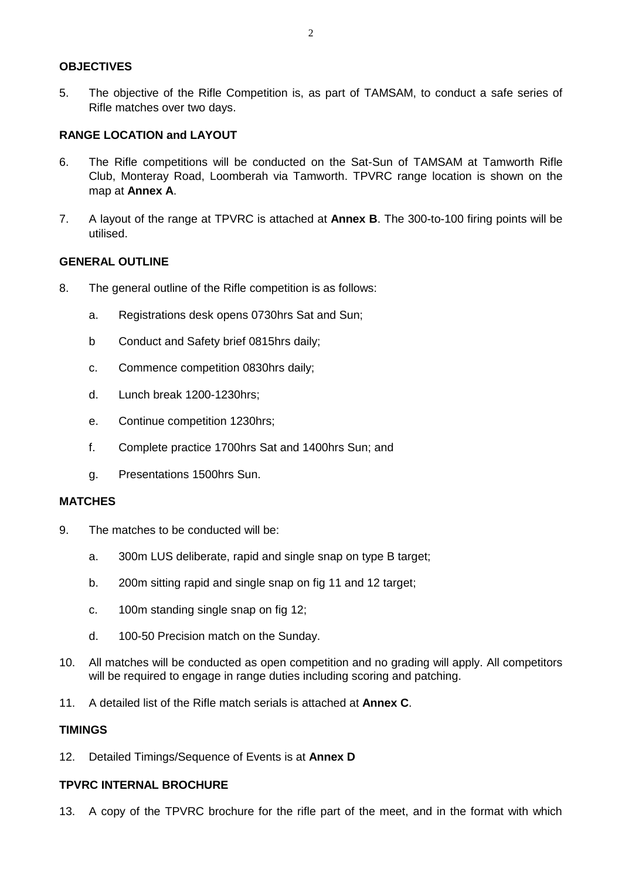### **OBJECTIVES**

5. The objective of the Rifle Competition is, as part of TAMSAM, to conduct a safe series of Rifle matches over two days.

### **RANGE LOCATION and LAYOUT**

- 6. The Rifle competitions will be conducted on the Sat-Sun of TAMSAM at Tamworth Rifle Club, Monteray Road, Loomberah via Tamworth. TPVRC range location is shown on the map at **Annex A**.
- 7. A layout of the range at TPVRC is attached at **Annex B**. The 300-to-100 firing points will be utilised.

#### **GENERAL OUTLINE**

- 8. The general outline of the Rifle competition is as follows:
	- a. Registrations desk opens 0730hrs Sat and Sun;
	- b Conduct and Safety brief 0815hrs daily;
	- c. Commence competition 0830hrs daily;
	- d. Lunch break 1200-1230hrs;
	- e. Continue competition 1230hrs;
	- f. Complete practice 1700hrs Sat and 1400hrs Sun; and
	- g. Presentations 1500hrs Sun.

#### **MATCHES**

- 9. The matches to be conducted will be:
	- a. 300m LUS deliberate, rapid and single snap on type B target;
	- b. 200m sitting rapid and single snap on fig 11 and 12 target;
	- c. 100m standing single snap on fig 12;
	- d. 100-50 Precision match on the Sunday.
- 10. All matches will be conducted as open competition and no grading will apply. All competitors will be required to engage in range duties including scoring and patching.
- 11. A detailed list of the Rifle match serials is attached at **Annex C**.

#### **TIMINGS**

12. Detailed Timings/Sequence of Events is at **Annex D**

#### **TPVRC INTERNAL BROCHURE**

13. A copy of the TPVRC brochure for the rifle part of the meet, and in the format with which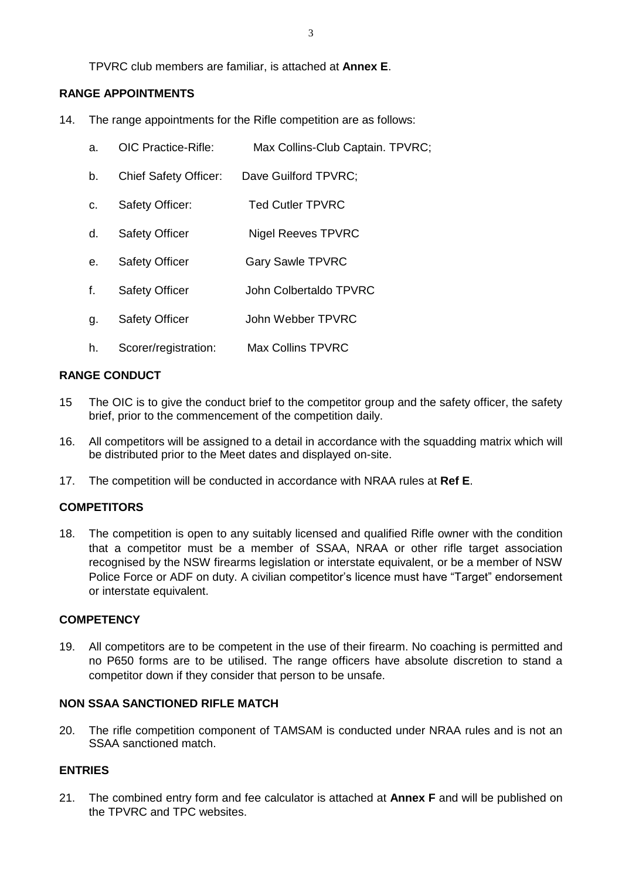TPVRC club members are familiar, is attached at **Annex E**.

### **RANGE APPOINTMENTS**

- 14. The range appointments for the Rifle competition are as follows:
	- a. OIC Practice-Rifle: Max Collins-Club Captain. TPVRC;
	- b. Chief Safety Officer: Dave Guilford TPVRC;
	- c. Safety Officer: Ted Cutler TPVRC
	- d. Safety Officer Nigel Reeves TPVRC
	- e. Safety Officer Gary Sawle TPVRC
	- f. Safety Officer John Colbertaldo TPVRC
	- g. Safety Officer John Webber TPVRC
	- h. Scorer/registration: Max Collins TPVRC

### **RANGE CONDUCT**

- 15 The OIC is to give the conduct brief to the competitor group and the safety officer, the safety brief, prior to the commencement of the competition daily.
- 16. All competitors will be assigned to a detail in accordance with the squadding matrix which will be distributed prior to the Meet dates and displayed on-site.
- 17. The competition will be conducted in accordance with NRAA rules at **Ref E**.

### **COMPETITORS**

18. The competition is open to any suitably licensed and qualified Rifle owner with the condition that a competitor must be a member of SSAA, NRAA or other rifle target association recognised by the NSW firearms legislation or interstate equivalent, or be a member of NSW Police Force or ADF on duty. A civilian competitor's licence must have "Target" endorsement or interstate equivalent.

#### **COMPETENCY**

19. All competitors are to be competent in the use of their firearm. No coaching is permitted and no P650 forms are to be utilised. The range officers have absolute discretion to stand a competitor down if they consider that person to be unsafe.

### **NON SSAA SANCTIONED RIFLE MATCH**

20. The rifle competition component of TAMSAM is conducted under NRAA rules and is not an SSAA sanctioned match.

### **ENTRIES**

21. The combined entry form and fee calculator is attached at **Annex F** and will be published on the TPVRC and TPC websites.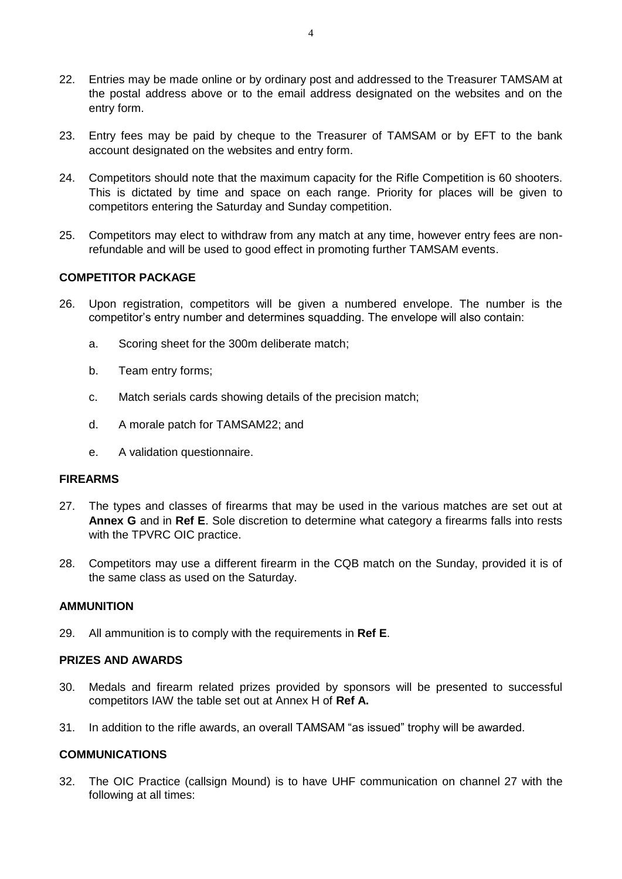- 22. Entries may be made online or by ordinary post and addressed to the Treasurer TAMSAM at the postal address above or to the email address designated on the websites and on the entry form.
- 23. Entry fees may be paid by cheque to the Treasurer of TAMSAM or by EFT to the bank account designated on the websites and entry form.
- 24. Competitors should note that the maximum capacity for the Rifle Competition is 60 shooters. This is dictated by time and space on each range. Priority for places will be given to competitors entering the Saturday and Sunday competition.
- 25. Competitors may elect to withdraw from any match at any time, however entry fees are nonrefundable and will be used to good effect in promoting further TAMSAM events.

#### **COMPETITOR PACKAGE**

- 26. Upon registration, competitors will be given a numbered envelope. The number is the competitor's entry number and determines squadding. The envelope will also contain:
	- a. Scoring sheet for the 300m deliberate match;
	- b. Team entry forms;
	- c. Match serials cards showing details of the precision match;
	- d. A morale patch for TAMSAM22; and
	- e. A validation questionnaire.

#### **FIREARMS**

- 27. The types and classes of firearms that may be used in the various matches are set out at **Annex G** and in **Ref E**. Sole discretion to determine what category a firearms falls into rests with the TPVRC OIC practice.
- 28. Competitors may use a different firearm in the CQB match on the Sunday, provided it is of the same class as used on the Saturday.

#### **AMMUNITION**

29. All ammunition is to comply with the requirements in **Ref E**.

#### **PRIZES AND AWARDS**

- 30. Medals and firearm related prizes provided by sponsors will be presented to successful competitors IAW the table set out at Annex H of **Ref A.**
- 31. In addition to the rifle awards, an overall TAMSAM "as issued" trophy will be awarded.

### **COMMUNICATIONS**

32. The OIC Practice (callsign Mound) is to have UHF communication on channel 27 with the following at all times: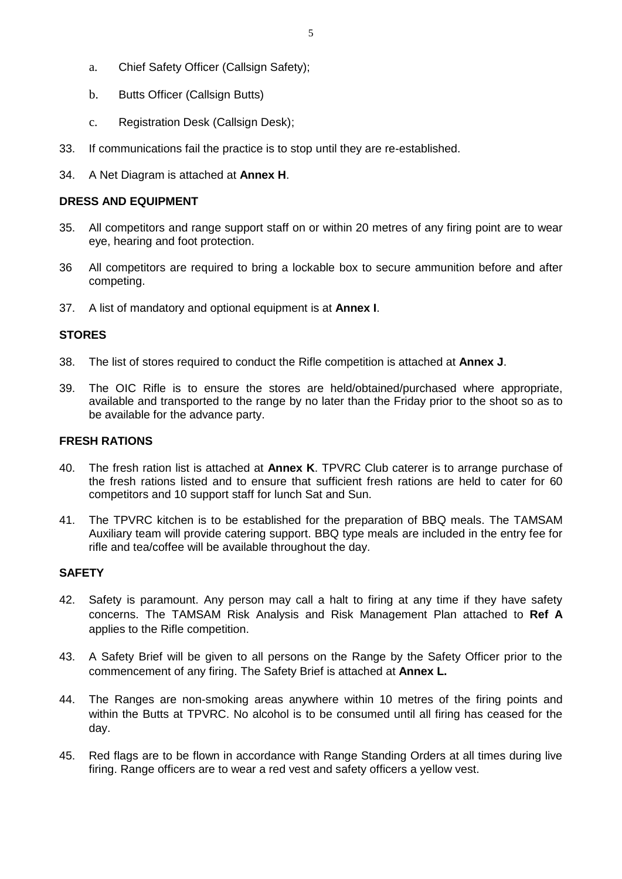- 5
- a. Chief Safety Officer (Callsign Safety);
- b. Butts Officer (Callsign Butts)
- c. Registration Desk (Callsign Desk);
- 33. If communications fail the practice is to stop until they are re-established.
- 34. A Net Diagram is attached at **Annex H**.

### **DRESS AND EQUIPMENT**

- 35. All competitors and range support staff on or within 20 metres of any firing point are to wear eye, hearing and foot protection.
- 36 All competitors are required to bring a lockable box to secure ammunition before and after competing.
- 37. A list of mandatory and optional equipment is at **Annex I**.

### **STORES**

- 38. The list of stores required to conduct the Rifle competition is attached at **Annex J**.
- 39. The OIC Rifle is to ensure the stores are held/obtained/purchased where appropriate, available and transported to the range by no later than the Friday prior to the shoot so as to be available for the advance party.

### **FRESH RATIONS**

- 40. The fresh ration list is attached at **Annex K**. TPVRC Club caterer is to arrange purchase of the fresh rations listed and to ensure that sufficient fresh rations are held to cater for 60 competitors and 10 support staff for lunch Sat and Sun.
- 41. The TPVRC kitchen is to be established for the preparation of BBQ meals. The TAMSAM Auxiliary team will provide catering support. BBQ type meals are included in the entry fee for rifle and tea/coffee will be available throughout the day.

### **SAFETY**

- 42. Safety is paramount. Any person may call a halt to firing at any time if they have safety concerns. The TAMSAM Risk Analysis and Risk Management Plan attached to **Ref A** applies to the Rifle competition.
- 43. A Safety Brief will be given to all persons on the Range by the Safety Officer prior to the commencement of any firing. The Safety Brief is attached at **Annex L.**
- 44. The Ranges are non-smoking areas anywhere within 10 metres of the firing points and within the Butts at TPVRC. No alcohol is to be consumed until all firing has ceased for the day.
- 45. Red flags are to be flown in accordance with Range Standing Orders at all times during live firing. Range officers are to wear a red vest and safety officers a yellow vest.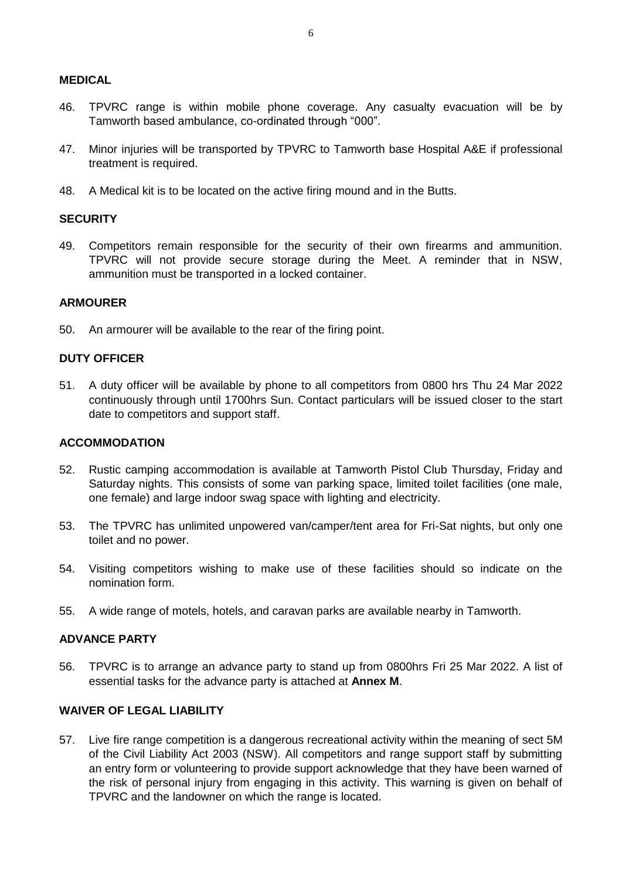### **MEDICAL**

- 46. TPVRC range is within mobile phone coverage. Any casualty evacuation will be by Tamworth based ambulance, co-ordinated through "000".
- 47. Minor injuries will be transported by TPVRC to Tamworth base Hospital A&E if professional treatment is required.
- 48. A Medical kit is to be located on the active firing mound and in the Butts.

#### **SECURITY**

49. Competitors remain responsible for the security of their own firearms and ammunition. TPVRC will not provide secure storage during the Meet. A reminder that in NSW, ammunition must be transported in a locked container.

#### **ARMOURER**

50. An armourer will be available to the rear of the firing point.

### **DUTY OFFICER**

51. A duty officer will be available by phone to all competitors from 0800 hrs Thu 24 Mar 2022 continuously through until 1700hrs Sun. Contact particulars will be issued closer to the start date to competitors and support staff.

#### **ACCOMMODATION**

- 52. Rustic camping accommodation is available at Tamworth Pistol Club Thursday, Friday and Saturday nights. This consists of some van parking space, limited toilet facilities (one male, one female) and large indoor swag space with lighting and electricity.
- 53. The TPVRC has unlimited unpowered van/camper/tent area for Fri-Sat nights, but only one toilet and no power.
- 54. Visiting competitors wishing to make use of these facilities should so indicate on the nomination form.
- 55. A wide range of motels, hotels, and caravan parks are available nearby in Tamworth.

#### **ADVANCE PARTY**

56. TPVRC is to arrange an advance party to stand up from 0800hrs Fri 25 Mar 2022. A list of essential tasks for the advance party is attached at **Annex M**.

### **WAIVER OF LEGAL LIABILITY**

57. Live fire range competition is a dangerous recreational activity within the meaning of sect 5M of the Civil Liability Act 2003 (NSW). All competitors and range support staff by submitting an entry form or volunteering to provide support acknowledge that they have been warned of the risk of personal injury from engaging in this activity. This warning is given on behalf of TPVRC and the landowner on which the range is located.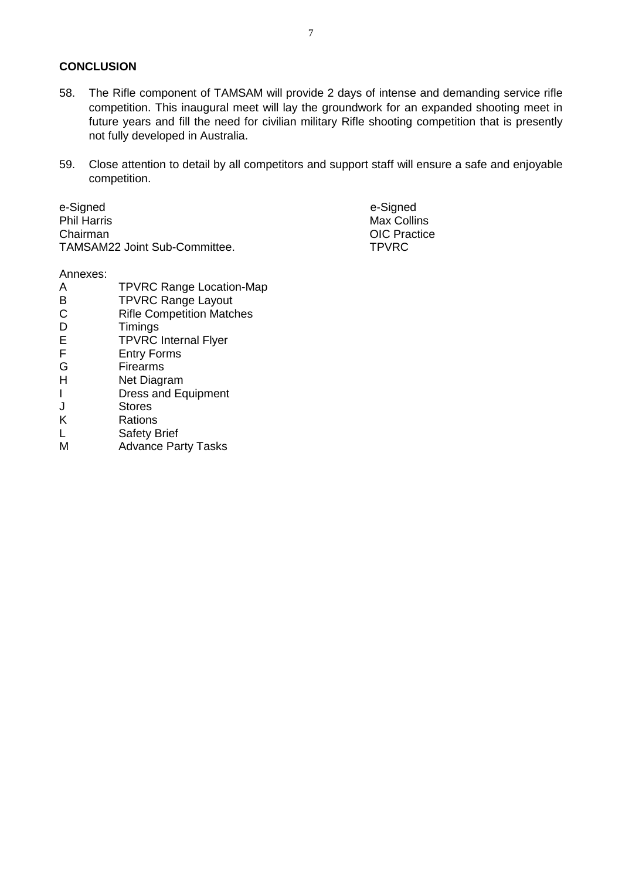### **CONCLUSION**

- 58. The Rifle component of TAMSAM will provide 2 days of intense and demanding service rifle competition. This inaugural meet will lay the groundwork for an expanded shooting meet in future years and fill the need for civilian military Rifle shooting competition that is presently not fully developed in Australia.
- 59. Close attention to detail by all competitors and support staff will ensure a safe and enjoyable competition.

e-Signed e-Signed Phil Harris Chairman TAMSAM22 Joint Sub-Committee.

Annexes:

- A TPVRC Range Location-Map B **TPVRC Range Layout** C Rifle Competition Matches D Timings E TPVRC Internal Flyer F Entry Forms G Firearms H Net Diagram I Dress and Equipment J Stores K Rations L Safety Brief
- M Advance Party Tasks

7

 Max Collins OIC Practice TPVRC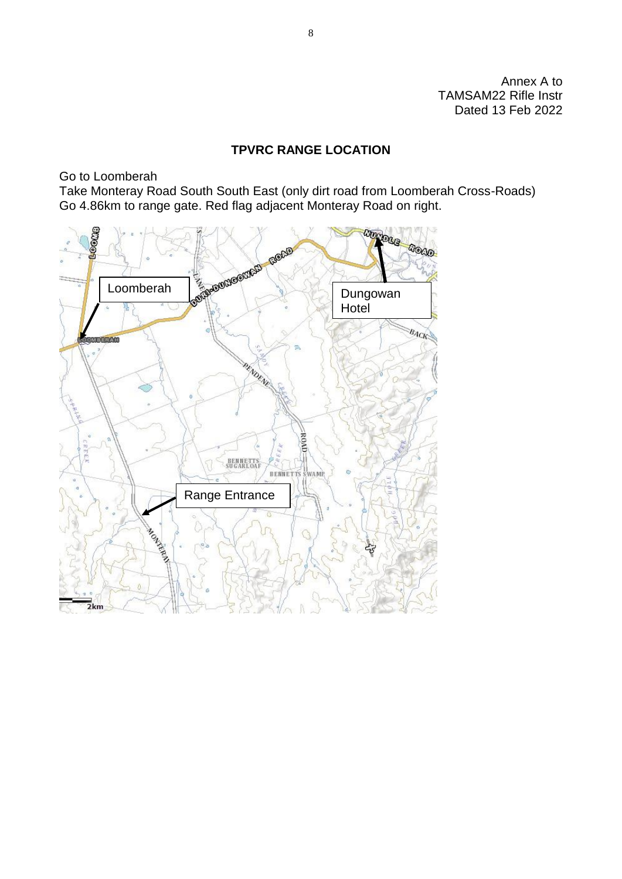Annex A to TAMSAM22 Rifle Instr Dated 13 Feb 2022

### **TPVRC RANGE LOCATION**

Go to Loomberah

Take Monteray Road South South East (only dirt road from Loomberah Cross-Roads) Go 4.86km to range gate. Red flag adjacent Monteray Road on right.

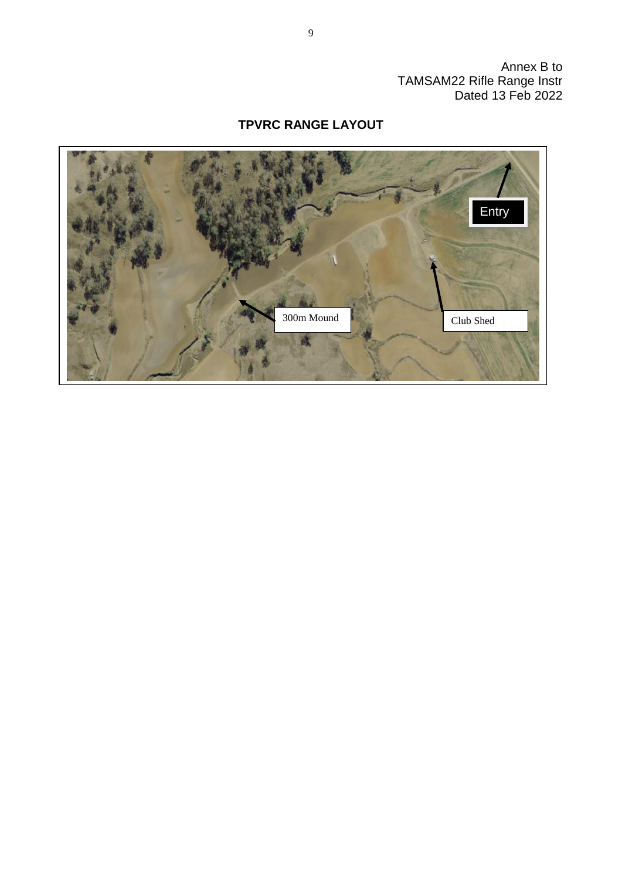Annex B to TAMSAM22 Rifle Range Instr Dated 13 Feb 2022

### **TPVRC RANGE LAYOUT**

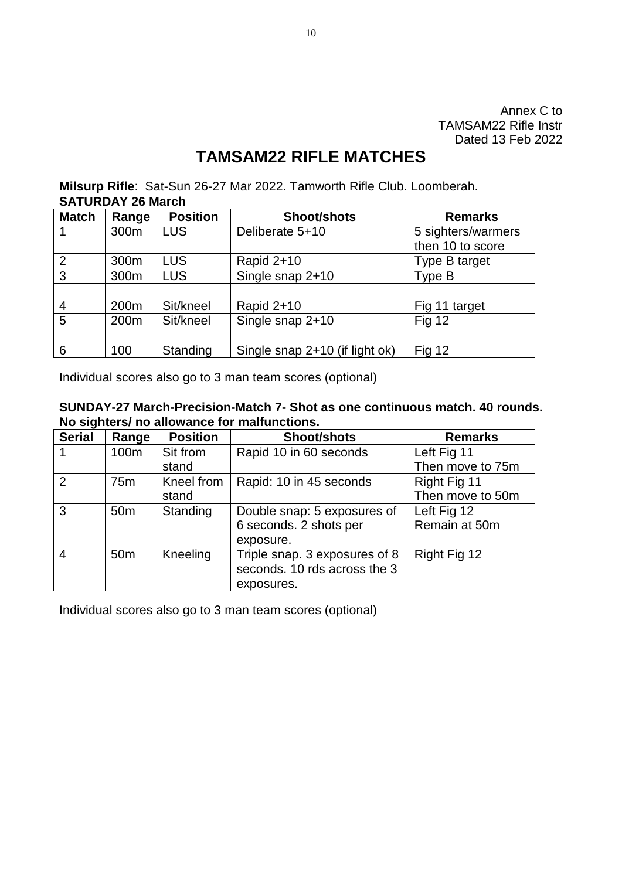Annex C to TAMSAM22 Rifle Instr Dated 13 Feb 2022

### **TAMSAM22 RIFLE MATCHES**

**Milsurp Rifle**: Sat-Sun 26-27 Mar 2022. Tamworth Rifle Club. Loomberah. **SATURDAY 26 March**

| <b>Match</b>   | Range            | <b>Position</b> | <b>Shoot/shots</b>             | <b>Remarks</b>     |
|----------------|------------------|-----------------|--------------------------------|--------------------|
|                | 300 <sub>m</sub> | <b>LUS</b>      | Deliberate 5+10                | 5 sighters/warmers |
|                |                  |                 |                                | then 10 to score   |
| $\overline{2}$ | 300m             | <b>LUS</b>      | Rapid 2+10                     | Type B target      |
| 3              | 300m             | <b>LUS</b>      | Single snap 2+10               | Type B             |
|                |                  |                 |                                |                    |
| 4              | 200m             | Sit/kneel       | Rapid 2+10                     | Fig 11 target      |
| 5              | 200m             | Sit/kneel       | Single snap 2+10               | <b>Fig 12</b>      |
|                |                  |                 |                                |                    |
| 6              | 100              | Standing        | Single snap 2+10 (if light ok) | <b>Fig 12</b>      |

Individual scores also go to 3 man team scores (optional)

| SUNDAY-27 March-Precision-Match 7- Shot as one continuous match. 40 rounds. |
|-----------------------------------------------------------------------------|
| No sighters/ no allowance for malfunctions.                                 |

| <b>Serial</b>  | Range           | <b>Position</b> | <b>Shoot/shots</b>            | <b>Remarks</b>   |
|----------------|-----------------|-----------------|-------------------------------|------------------|
|                | 100m            | Sit from        | Rapid 10 in 60 seconds        | Left Fig 11      |
|                |                 | stand           |                               | Then move to 75m |
| 2              | 75 <sub>m</sub> | Kneel from      | Rapid: 10 in 45 seconds       | Right Fig 11     |
|                |                 | stand           |                               | Then move to 50m |
| 3              | 50 <sub>m</sub> | Standing        | Double snap: 5 exposures of   | Left Fig 12      |
|                |                 |                 | 6 seconds. 2 shots per        | Remain at 50m    |
|                |                 |                 | exposure.                     |                  |
| $\overline{4}$ | 50 <sub>m</sub> | Kneeling        | Triple snap. 3 exposures of 8 | Right Fig 12     |
|                |                 |                 | seconds. 10 rds across the 3  |                  |
|                |                 |                 | exposures.                    |                  |

Individual scores also go to 3 man team scores (optional)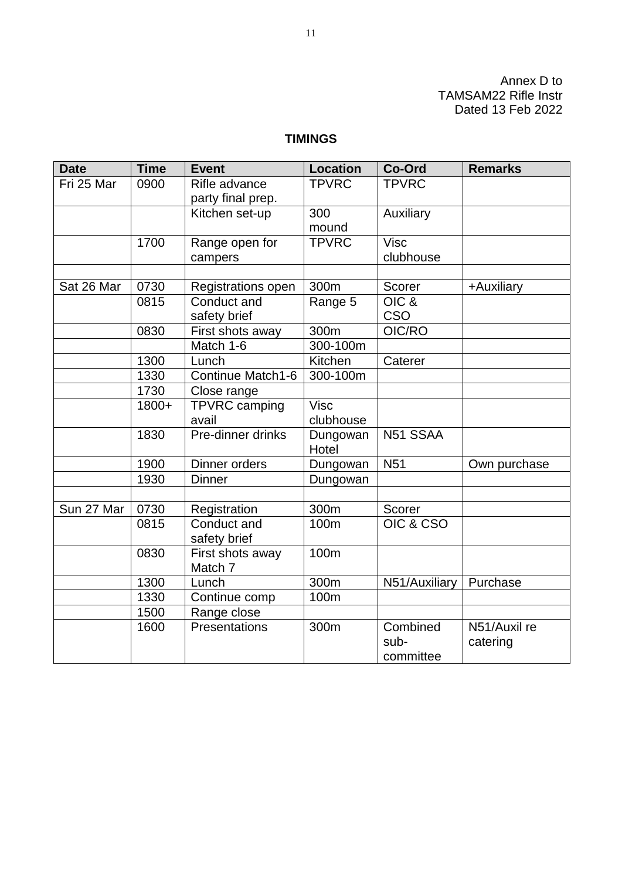Annex D to TAMSAM22 Rifle Instr Dated 13 Feb 2022

### **TIMINGS**

| <b>Date</b> | <b>Time</b> | <b>Event</b>       | <b>Location</b> | Co-Ord            | <b>Remarks</b> |
|-------------|-------------|--------------------|-----------------|-------------------|----------------|
| Fri 25 Mar  | 0900        | Rifle advance      | <b>TPVRC</b>    | <b>TPVRC</b>      |                |
|             |             | party final prep.  |                 |                   |                |
|             |             | Kitchen set-up     | 300             | Auxiliary         |                |
|             |             |                    | mound           |                   |                |
|             | 1700        | Range open for     | <b>TPVRC</b>    | $\overline{Visc}$ |                |
|             |             | campers            |                 | clubhouse         |                |
|             |             |                    |                 |                   |                |
| Sat 26 Mar  | 0730        | Registrations open | 300m            | Scorer            | +Auxiliary     |
|             | 0815        | Conduct and        | Range 5         | OIC &             |                |
|             |             | safety brief       |                 | <b>CSO</b>        |                |
|             | 0830        | First shots away   | 300m            | OIC/RO            |                |
|             |             | Match 1-6          | 300-100m        |                   |                |
|             | 1300        | Lunch              | Kitchen         | Caterer           |                |
|             | 1330        | Continue Match1-6  | 300-100m        |                   |                |
|             | 1730        | Close range        |                 |                   |                |
|             | 1800+       | TPVRC camping      | <b>Visc</b>     |                   |                |
|             |             | avail              | clubhouse       |                   |                |
|             | 1830        | Pre-dinner drinks  | Dungowan        | N51 SSAA          |                |
|             |             |                    | Hotel           |                   |                |
|             | 1900        | Dinner orders      | Dungowan        | <b>N51</b>        | Own purchase   |
|             | 1930        | <b>Dinner</b>      | Dungowan        |                   |                |
|             |             |                    |                 |                   |                |
| Sun 27 Mar  | 0730        | Registration       | 300m            | Scorer            |                |
|             | 0815        | Conduct and        | 100m            | OIC & CSO         |                |
|             |             | safety brief       |                 |                   |                |
|             | 0830        | First shots away   | 100m            |                   |                |
|             |             | Match 7            |                 |                   |                |
|             | 1300        | Lunch              | 300m            | N51/Auxiliary     | Purchase       |
|             | 1330        | Continue comp      | 100m            |                   |                |
|             | 1500        | Range close        |                 |                   |                |
|             | 1600        | Presentations      | 300m            | Combined          | N51/Auxil re   |
|             |             |                    |                 | sub-              | catering       |
|             |             |                    |                 | committee         |                |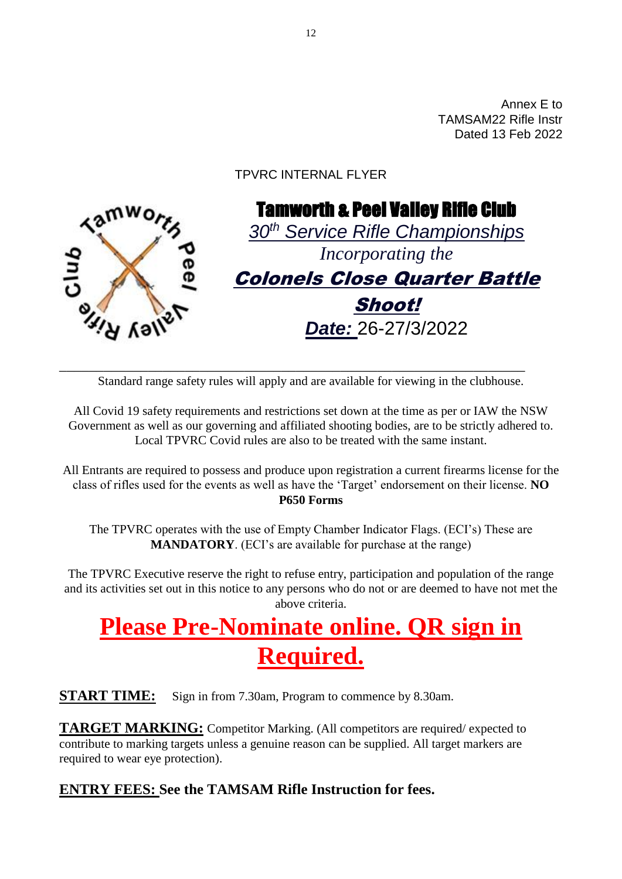Annex E to TAMSAM22 Rifle Instr Dated 13 Feb 2022

### TPVRC INTERNAL FLYER



Standard range safety rules will apply and are available for viewing in the clubhouse.

\_\_\_\_\_\_\_\_\_\_\_\_\_\_\_\_\_\_\_\_\_\_\_\_\_\_\_\_\_\_\_\_\_\_\_\_\_\_\_\_\_\_\_\_\_\_\_\_\_\_\_\_\_\_\_\_\_\_\_\_\_\_\_

All Covid 19 safety requirements and restrictions set down at the time as per or IAW the NSW Government as well as our governing and affiliated shooting bodies, are to be strictly adhered to. Local TPVRC Covid rules are also to be treated with the same instant.

All Entrants are required to possess and produce upon registration a current firearms license for the class of rifles used for the events as well as have the 'Target' endorsement on their license. **NO P650 Forms**

The TPVRC operates with the use of Empty Chamber Indicator Flags. (ECI's) These are **MANDATORY**. (ECI's are available for purchase at the range)

The TPVRC Executive reserve the right to refuse entry, participation and population of the range and its activities set out in this notice to any persons who do not or are deemed to have not met the above criteria.

# **Please Pre-Nominate online. QR sign in Required.**

**START TIME:** Sign in from 7.30am, Program to commence by 8.30am.

**TARGET MARKING:** Competitor Marking. (All competitors are required/ expected to contribute to marking targets unless a genuine reason can be supplied. All target markers are required to wear eye protection).

### **ENTRY FEES: See the TAMSAM Rifle Instruction for fees.**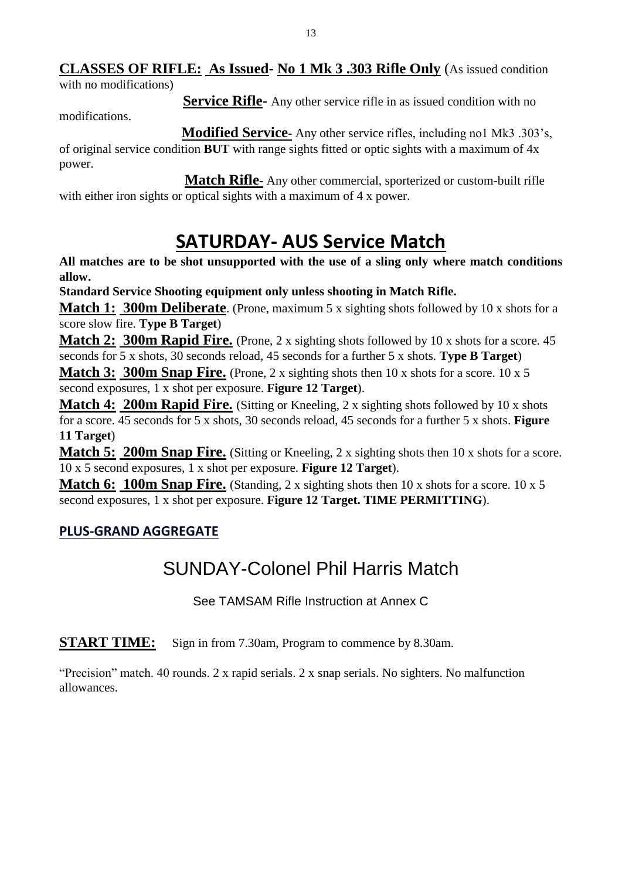### **CLASSES OF RIFLE: As Issued- No 1 Mk 3 .303 Rifle Only** (As issued condition

with no modifications)

**Service Rifle-** Any other service rifle in as issued condition with no

modifications.

 **Modified Service-** Any other service rifles, including no1 Mk3 .303's, of original service condition **BUT** with range sights fitted or optic sights with a maximum of 4x power.

 **Match Rifle-** Any other commercial, sporterized or custom-built rifle with either iron sights or optical sights with a maximum of 4 x power.

# **SATURDAY- AUS Service Match**

**All matches are to be shot unsupported with the use of a sling only where match conditions allow.**

**Standard Service Shooting equipment only unless shooting in Match Rifle.**

**Match 1: 300m Deliberate.** (Prone, maximum 5 x sighting shots followed by 10 x shots for a score slow fire. **Type B Target**)

**Match 2: 300m Rapid Fire.** (Prone, 2 x sighting shots followed by 10 x shots for a score. 45 seconds for 5 x shots, 30 seconds reload, 45 seconds for a further 5 x shots. **Type B Target**)

**Match 3: 300m Snap Fire.** (Prone, 2 x sighting shots then 10 x shots for a score. 10 x 5 second exposures, 1 x shot per exposure. **Figure 12 Target**).

**Match 4: 200m Rapid Fire.** (Sitting or Kneeling, 2 x sighting shots followed by 10 x shots for a score. 45 seconds for 5 x shots, 30 seconds reload, 45 seconds for a further 5 x shots. **Figure 11 Target**)

**Match 5: 200m Snap Fire.** (Sitting or Kneeling, 2 x sighting shots then 10 x shots for a score. 10 x 5 second exposures, 1 x shot per exposure. **Figure 12 Target**).

**Match 6: 100m Snap Fire.** (Standing, 2 x sighting shots then 10 x shots for a score. 10 x 5 second exposures, 1 x shot per exposure. **Figure 12 Target. TIME PERMITTING**).

### **PLUS-GRAND AGGREGATE**

# SUNDAY-Colonel Phil Harris Match

See TAMSAM Rifle Instruction at Annex C

**START TIME:** Sign in from 7.30am, Program to commence by 8.30am.

"Precision" match. 40 rounds. 2 x rapid serials. 2 x snap serials. No sighters. No malfunction allowances.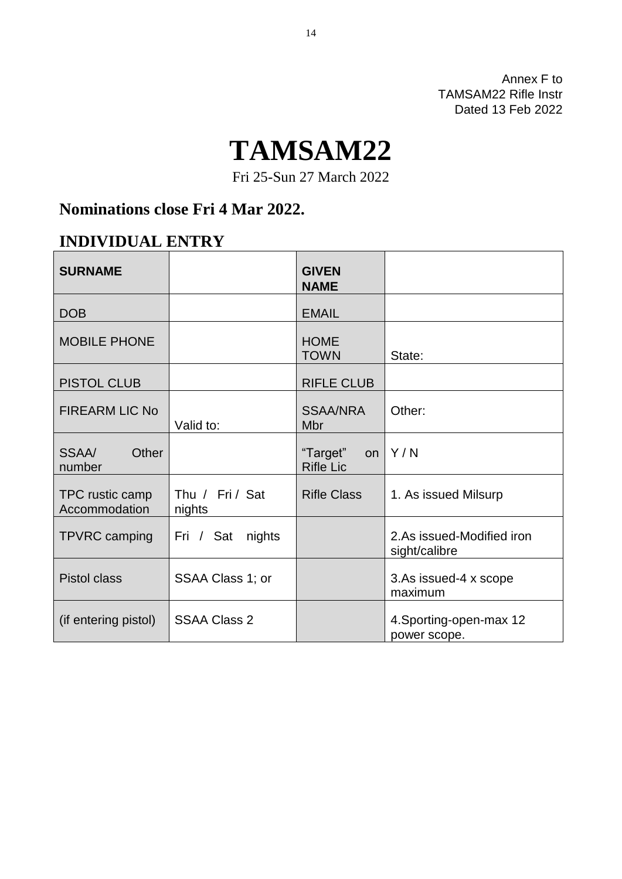Annex F to TAMSAM22 Rifle Instr Dated 13 Feb 2022

# **TAMSAM22**

Fri 25-Sun 27 March 2022

## **Nominations close Fri 4 Mar 2022.**

### **INDIVIDUAL ENTRY**

| <b>SURNAME</b>                   |                           | <b>GIVEN</b><br><b>NAME</b>        |                                            |
|----------------------------------|---------------------------|------------------------------------|--------------------------------------------|
| <b>DOB</b>                       |                           | <b>EMAIL</b>                       |                                            |
| <b>MOBILE PHONE</b>              |                           | <b>HOME</b><br><b>TOWN</b>         | State:                                     |
| <b>PISTOL CLUB</b>               |                           | <b>RIFLE CLUB</b>                  |                                            |
| <b>FIREARM LIC No</b>            | Valid to:                 | <b>SSAA/NRA</b><br>Mbr             | Other:                                     |
| SSAA/<br>Other<br>number         |                           | "Target"<br>on<br><b>Rifle Lic</b> | Y/N                                        |
| TPC rustic camp<br>Accommodation | Thu / Fri / Sat<br>nights | <b>Rifle Class</b>                 | 1. As issued Milsurp                       |
| TPVRC camping                    | Fri / Sat<br>nights       |                                    | 2.As issued-Modified iron<br>sight/calibre |
| <b>Pistol class</b>              | SSAA Class 1; or          |                                    | 3.As issued-4 x scope<br>maximum           |
| (if entering pistol)             | <b>SSAA Class 2</b>       |                                    | 4. Sporting-open-max 12<br>power scope.    |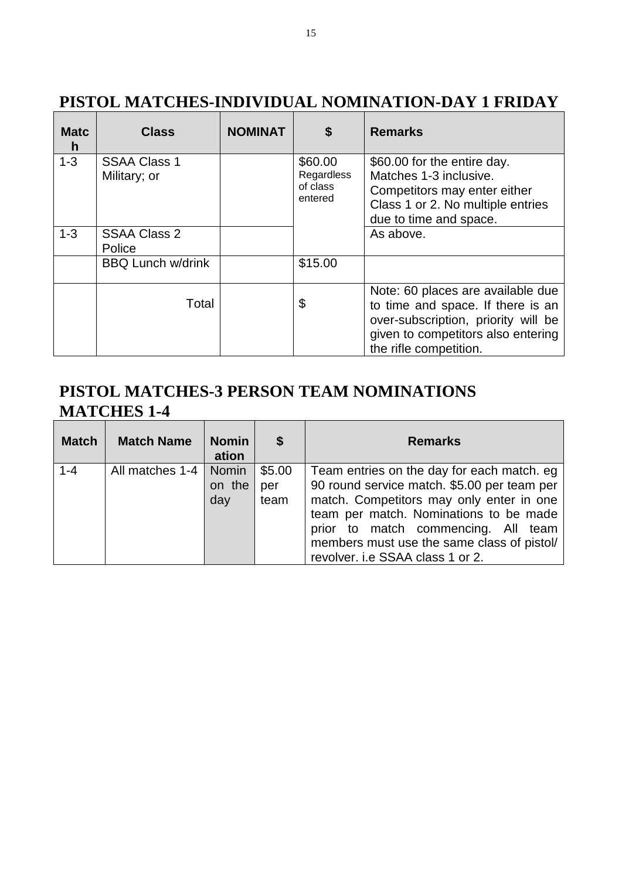| <b>Matc</b><br>$\mathbf h$ | <b>Class</b>                        | <b>NOMINAT</b> | \$                                           | <b>Remarks</b>                                                                                                                                                                |
|----------------------------|-------------------------------------|----------------|----------------------------------------------|-------------------------------------------------------------------------------------------------------------------------------------------------------------------------------|
| $1 - 3$                    | <b>SSAA Class 1</b><br>Military; or |                | \$60.00<br>Regardless<br>of class<br>entered | \$60.00 for the entire day.<br>Matches 1-3 inclusive.<br>Competitors may enter either<br>Class 1 or 2. No multiple entries<br>due to time and space.                          |
| $1 - 3$                    | <b>SSAA Class 2</b><br>Police       |                |                                              | As above.                                                                                                                                                                     |
|                            | <b>BBQ Lunch w/drink</b>            |                | \$15.00                                      |                                                                                                                                                                               |
|                            | Total                               |                | \$                                           | Note: 60 places are available due<br>to time and space. If there is an<br>over-subscription, priority will be<br>given to competitors also entering<br>the rifle competition. |

# **PISTOL MATCHES-INDIVIDUAL NOMINATION-DAY 1 FRIDAY**

### **PISTOL MATCHES-3 PERSON TEAM NOMINATIONS MATCHES 1-4**

| <b>Match</b> | <b>Match Name</b> | <b>Nomin</b><br>ation  | S                     | <b>Remarks</b>                                                                                                                                                                                                                                                                                           |
|--------------|-------------------|------------------------|-----------------------|----------------------------------------------------------------------------------------------------------------------------------------------------------------------------------------------------------------------------------------------------------------------------------------------------------|
| $1 - 4$      | All matches 1-4   | Nomin<br>on the<br>day | \$5.00<br>per<br>team | Team entries on the day for each match. eg<br>90 round service match. \$5.00 per team per<br>match. Competitors may only enter in one<br>team per match. Nominations to be made<br>prior to match commencing. All team<br>members must use the same class of pistol/<br>revolver. i.e SSAA class 1 or 2. |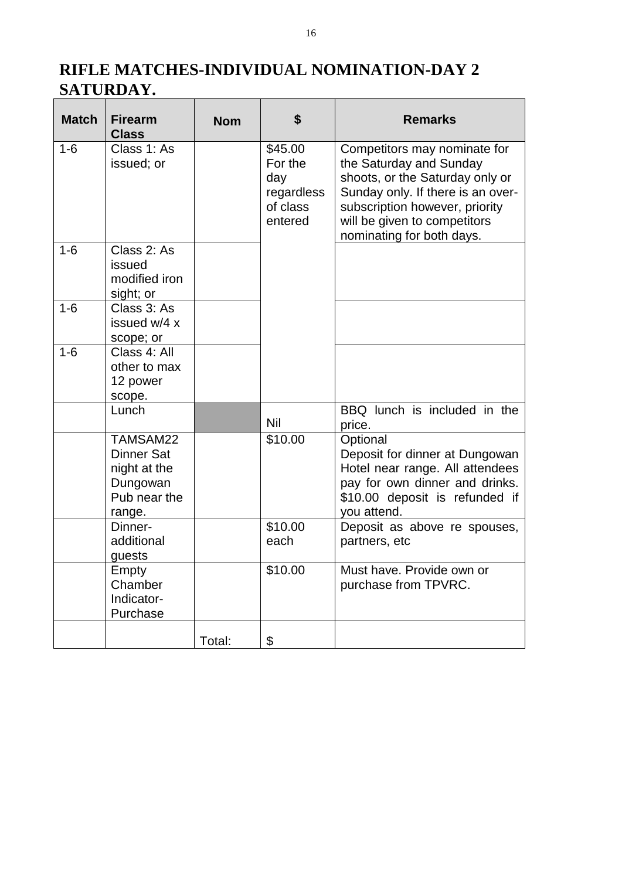# **RIFLE MATCHES-INDIVIDUAL NOMINATION-DAY 2 SATURDAY.**

| <b>Match</b> | <b>Firearm</b><br><b>Class</b>                                                      | <b>Nom</b> | \$                                                             | <b>Remarks</b>                                                                                                                                                                                                                 |
|--------------|-------------------------------------------------------------------------------------|------------|----------------------------------------------------------------|--------------------------------------------------------------------------------------------------------------------------------------------------------------------------------------------------------------------------------|
| $1-6$        | Class 1: As<br>issued; or                                                           |            | \$45.00<br>For the<br>day<br>regardless<br>of class<br>entered | Competitors may nominate for<br>the Saturday and Sunday<br>shoots, or the Saturday only or<br>Sunday only. If there is an over-<br>subscription however, priority<br>will be given to competitors<br>nominating for both days. |
| $1-6$        | Class 2: As<br>issued<br>modified iron<br>sight; or                                 |            |                                                                |                                                                                                                                                                                                                                |
| $1-6$        | Class 3: As<br>issued w/4 x<br>scope; or                                            |            |                                                                |                                                                                                                                                                                                                                |
| $1 - 6$      | Class 4: All<br>other to max<br>12 power<br>scope.                                  |            |                                                                |                                                                                                                                                                                                                                |
|              | Lunch                                                                               |            | <b>Nil</b>                                                     | BBQ lunch is included in the<br>price.                                                                                                                                                                                         |
|              | TAMSAM22<br><b>Dinner Sat</b><br>night at the<br>Dungowan<br>Pub near the<br>range. |            | \$10.00                                                        | Optional<br>Deposit for dinner at Dungowan<br>Hotel near range. All attendees<br>pay for own dinner and drinks.<br>\$10.00 deposit is refunded if<br>you attend.                                                               |
|              | Dinner-<br>additional<br>guests                                                     |            | \$10.00<br>each                                                | Deposit as above re spouses,<br>partners, etc                                                                                                                                                                                  |
|              | Empty<br>Chamber<br>Indicator-<br>Purchase                                          |            | \$10.00                                                        | Must have. Provide own or<br>purchase from TPVRC.                                                                                                                                                                              |
|              |                                                                                     | Total:     | \$                                                             |                                                                                                                                                                                                                                |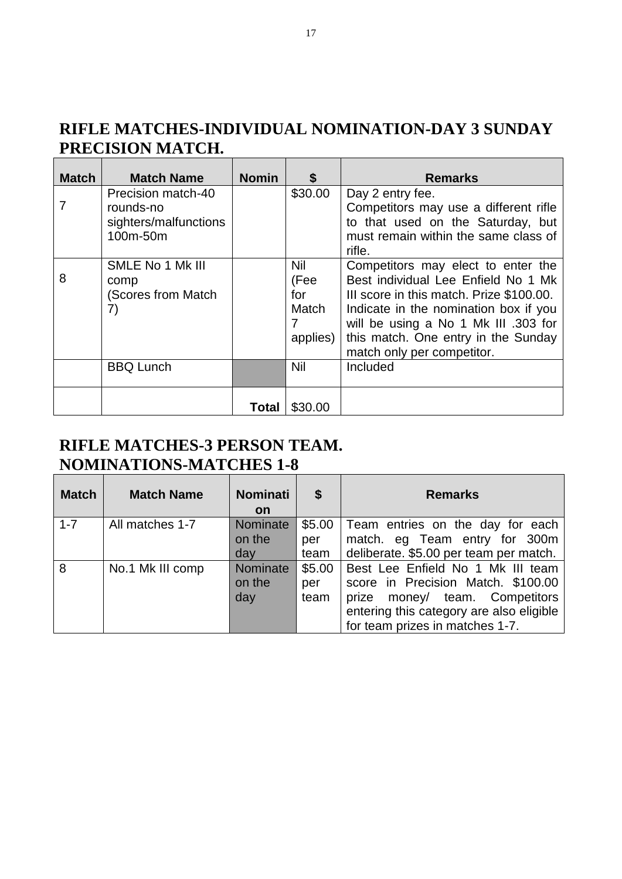### **RIFLE MATCHES-INDIVIDUAL NOMINATION-DAY 3 SUNDAY PRECISION MATCH.**

 $\overline{\phantom{a}}$ 

| <b>Match</b> | <b>Match Name</b>                                                    | <b>Nomin</b> | \$                                           | <b>Remarks</b>                                                                                                                                                                                                                                                              |
|--------------|----------------------------------------------------------------------|--------------|----------------------------------------------|-----------------------------------------------------------------------------------------------------------------------------------------------------------------------------------------------------------------------------------------------------------------------------|
|              | Precision match-40<br>rounds-no<br>sighters/malfunctions<br>100m-50m |              | \$30.00                                      | Day 2 entry fee.<br>Competitors may use a different rifle<br>to that used on the Saturday, but<br>must remain within the same class of<br>rifle.                                                                                                                            |
| 8            | SMLE No 1 Mk III<br>comp<br>(Scores from Match)<br>7)                |              | Nil<br>(Fee<br>for<br>Match<br>7<br>applies) | Competitors may elect to enter the<br>Best individual Lee Enfield No 1 Mk<br>III score in this match. Prize \$100.00.<br>Indicate in the nomination box if you<br>will be using a No 1 Mk III .303 for<br>this match. One entry in the Sunday<br>match only per competitor. |
|              | <b>BBQ Lunch</b>                                                     |              | <b>Nil</b>                                   | Included                                                                                                                                                                                                                                                                    |
|              |                                                                      | Total        | \$30.00                                      |                                                                                                                                                                                                                                                                             |

### **RIFLE MATCHES-3 PERSON TEAM. NOMINATIONS-MATCHES 1-8**

| <b>Match</b> | <b>Match Name</b> | <b>Nominati</b><br><b>on</b> | \$     | <b>Remarks</b>                           |
|--------------|-------------------|------------------------------|--------|------------------------------------------|
| $1 - 7$      | All matches 1-7   | Nominate                     | \$5.00 | Team entries on the day for each         |
|              |                   | on the                       | per    | match. eg Team entry for 300m            |
|              |                   | day                          | team   | deliberate. \$5.00 per team per match.   |
| 8            | No.1 Mk III comp  | Nominate                     | \$5.00 | Best Lee Enfield No 1 Mk III team        |
|              |                   | on the                       | per    | score in Precision Match. \$100.00       |
|              |                   | day                          | team   | money/ team. Competitors<br>prize        |
|              |                   |                              |        | entering this category are also eligible |
|              |                   |                              |        | for team prizes in matches 1-7.          |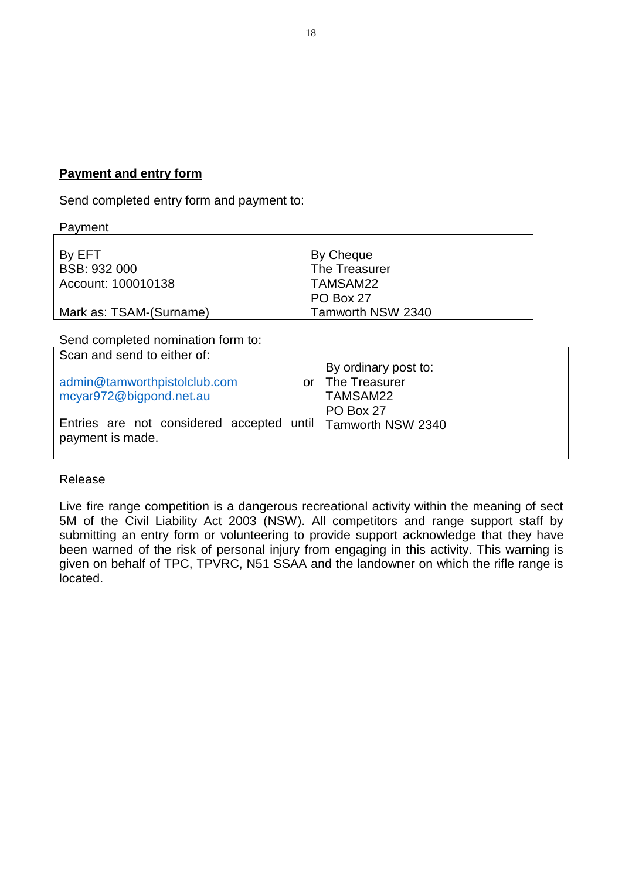### **Payment and entry form**

Send completed entry form and payment to:

| Payment                 |                   |
|-------------------------|-------------------|
|                         |                   |
| By EFT                  | By Cheque         |
| BSB: 932 000            | The Treasurer     |
| Account: 100010138      | TAMSAM22          |
|                         | PO Box 27         |
| Mark as: TSAM-(Surname) | Tamworth NSW 2340 |

Send completed nomination form to:

| Scan and send to either of:                                                       |                                                                     |
|-----------------------------------------------------------------------------------|---------------------------------------------------------------------|
| admin@tamworthpistolclub.com<br>mcyar972@bigpond.net.au                           | By ordinary post to:<br>or   The Treasurer<br>TAMSAM22<br>PO Box 27 |
| Entries are not considered accepted until   Tamworth NSW 2340<br>payment is made. |                                                                     |

### Release

Live fire range competition is a dangerous recreational activity within the meaning of sect 5M of the Civil Liability Act 2003 (NSW). All competitors and range support staff by submitting an entry form or volunteering to provide support acknowledge that they have been warned of the risk of personal injury from engaging in this activity. This warning is given on behalf of TPC, TPVRC, N51 SSAA and the landowner on which the rifle range is located.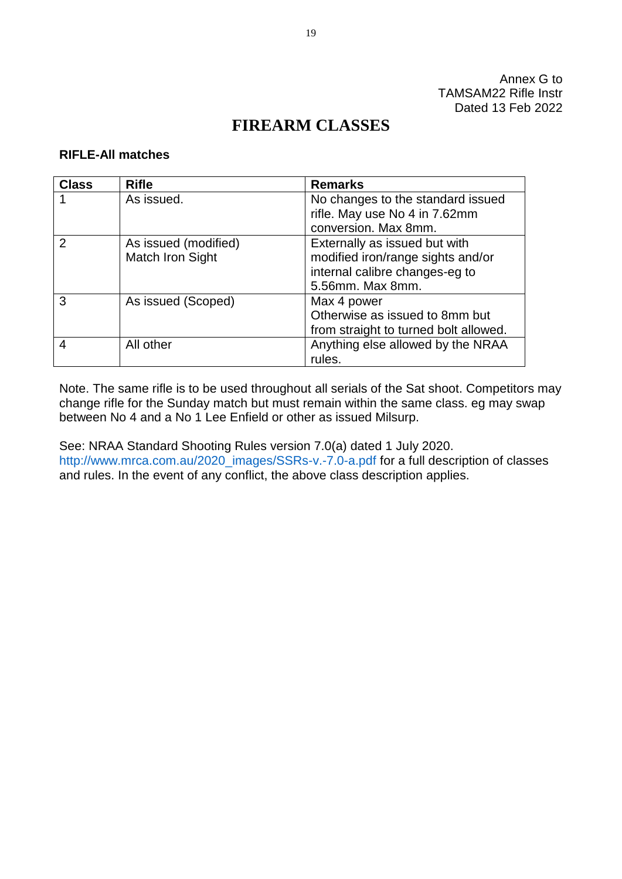Annex G to TAMSAM22 Rifle Instr Dated 13 Feb 2022

### **FIREARM CLASSES**

### **RIFLE-All matches**

| <b>Class</b> | <b>Rifle</b>         | <b>Remarks</b>                        |
|--------------|----------------------|---------------------------------------|
|              | As issued.           | No changes to the standard issued     |
|              |                      | rifle. May use No 4 in 7.62mm         |
|              |                      | conversion. Max 8mm.                  |
| 2            | As issued (modified) | Externally as issued but with         |
|              | Match Iron Sight     | modified iron/range sights and/or     |
|              |                      | internal calibre changes-eg to        |
|              |                      | 5.56mm. Max 8mm.                      |
| 3            | As issued (Scoped)   | Max 4 power                           |
|              |                      | Otherwise as issued to 8mm but        |
|              |                      | from straight to turned bolt allowed. |
| 4            | All other            | Anything else allowed by the NRAA     |
|              |                      | rules.                                |

Note. The same rifle is to be used throughout all serials of the Sat shoot. Competitors may change rifle for the Sunday match but must remain within the same class. eg may swap between No 4 and a No 1 Lee Enfield or other as issued Milsurp.

See: NRAA Standard Shooting Rules version 7.0(a) dated 1 July 2020. [http://www.mrca.com.au/2020\\_images/SSRs-v.-7.0-a.pdf](http://www.mrca.com.au/2020_images/SSRs-v.-7.0-a.pdf) for a full description of classes and rules. In the event of any conflict, the above class description applies.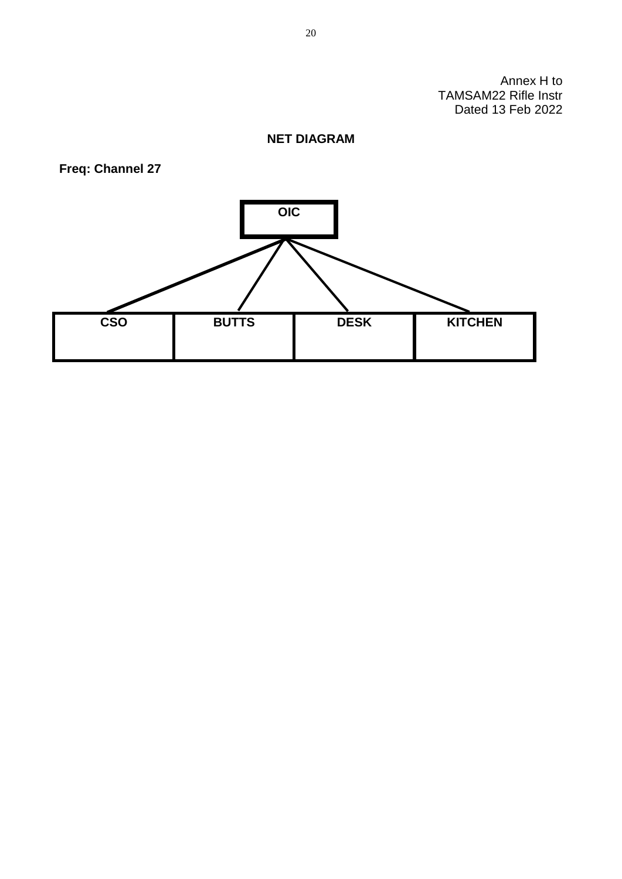Annex H to TAMSAM22 Rifle Instr Dated 13 Feb 2022

### **NET DIAGRAM**

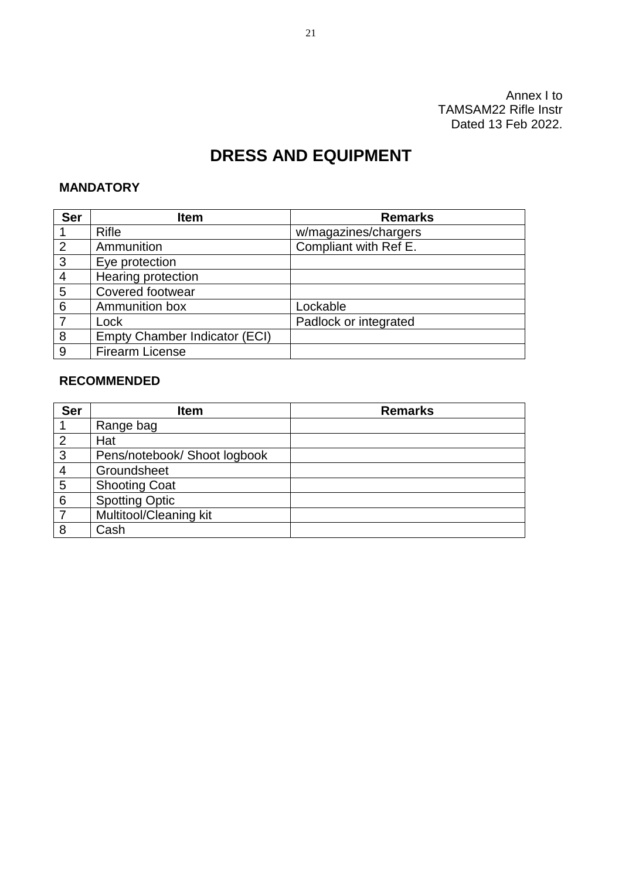Annex I to TAMSAM22 Rifle Instr Dated 13 Feb 2022.

### **DRESS AND EQUIPMENT**

### **MANDATORY**

| <b>Ser</b>     | <b>Item</b>                          | <b>Remarks</b>        |
|----------------|--------------------------------------|-----------------------|
|                | <b>Rifle</b>                         | w/magazines/chargers  |
| $\overline{2}$ | Ammunition                           | Compliant with Ref E. |
| $\mathbf{3}$   | Eye protection                       |                       |
| $\overline{4}$ | Hearing protection                   |                       |
| 5              | Covered footwear                     |                       |
| 6              | Ammunition box                       | Lockable              |
|                | Lock                                 | Padlock or integrated |
| 8              | <b>Empty Chamber Indicator (ECI)</b> |                       |
| -9             | <b>Firearm License</b>               |                       |

### **RECOMMENDED**

| <b>Ser</b>     | <b>Item</b>                  | <b>Remarks</b> |
|----------------|------------------------------|----------------|
|                | Range bag                    |                |
| $\overline{2}$ | Hat                          |                |
| 3              | Pens/notebook/ Shoot logbook |                |
| $\overline{4}$ | Groundsheet                  |                |
| 5              | <b>Shooting Coat</b>         |                |
| 6              | <b>Spotting Optic</b>        |                |
|                | Multitool/Cleaning kit       |                |
| 8              | Cash                         |                |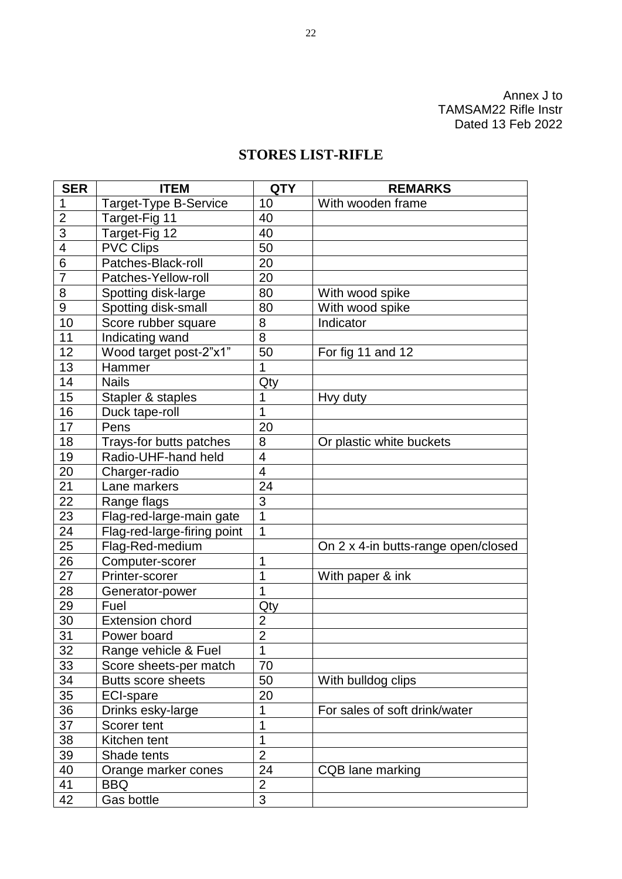Annex J to TAMSAM22 Rifle Instr Dated 13 Feb 2022

### **STORES LIST-RIFLE**

| <b>SER</b>     | <b>ITEM</b>                 | <b>QTY</b>     | <b>REMARKS</b>                      |
|----------------|-----------------------------|----------------|-------------------------------------|
| 1              | Target-Type B-Service       | 10             | With wooden frame                   |
| $\overline{2}$ | Target-Fig 11               | 40             |                                     |
| 3              | Target-Fig 12               | 40             |                                     |
| 4              | <b>PVC Clips</b>            | 50             |                                     |
| 6              | Patches-Black-roll          | 20             |                                     |
| 7              | Patches-Yellow-roll         | 20             |                                     |
| 8              | Spotting disk-large         | 80             | With wood spike                     |
| 9              | Spotting disk-small         | 80             | With wood spike                     |
| 10             | Score rubber square         | 8              | Indicator                           |
| 11             | Indicating wand             | 8              |                                     |
| 12             | Wood target post-2"x1"      | 50             | For fig 11 and 12                   |
| 13             | Hammer                      | 1              |                                     |
| 14             | <b>Nails</b>                | Qty            |                                     |
| 15             | Stapler & staples           | 1              | Hvy duty                            |
| 16             | Duck tape-roll              | 1              |                                     |
| 17             | Pens                        | 20             |                                     |
| 18             | Trays-for butts patches     | 8              | Or plastic white buckets            |
| 19             | Radio-UHF-hand held         | 4              |                                     |
| 20             | Charger-radio               | $\overline{4}$ |                                     |
| 21             | Lane markers                | 24             |                                     |
| 22             | Range flags                 | 3              |                                     |
| 23             | Flag-red-large-main gate    | 1              |                                     |
| 24             | Flag-red-large-firing point | 1              |                                     |
| 25             | Flag-Red-medium             |                | On 2 x 4-in butts-range open/closed |
| 26             | Computer-scorer             | 1              |                                     |
| 27             | Printer-scorer              | 1              | With paper & ink                    |
| 28             | Generator-power             | 1              |                                     |
| 29             | Fuel                        | Qty            |                                     |
| 30             | <b>Extension chord</b>      | $\overline{2}$ |                                     |
| 31             | Power board                 | $\overline{2}$ |                                     |
| 32             | Range vehicle & Fuel        | 1              |                                     |
| 33             | Score sheets-per match      | 70             |                                     |
| 34             | <b>Butts score sheets</b>   | 50             | With bulldog clips                  |
| 35             | <b>ECI-spare</b>            | 20             |                                     |
| 36             | Drinks esky-large           | 1              | For sales of soft drink/water       |
| 37             | Scorer tent                 | 1              |                                     |
| 38             | Kitchen tent                | 1              |                                     |
| 39             | Shade tents                 | $\overline{2}$ |                                     |
| 40             | Orange marker cones         | 24             | CQB lane marking                    |
| 41             | <b>BBQ</b>                  | $\overline{2}$ |                                     |
| 42             | Gas bottle                  | $\overline{3}$ |                                     |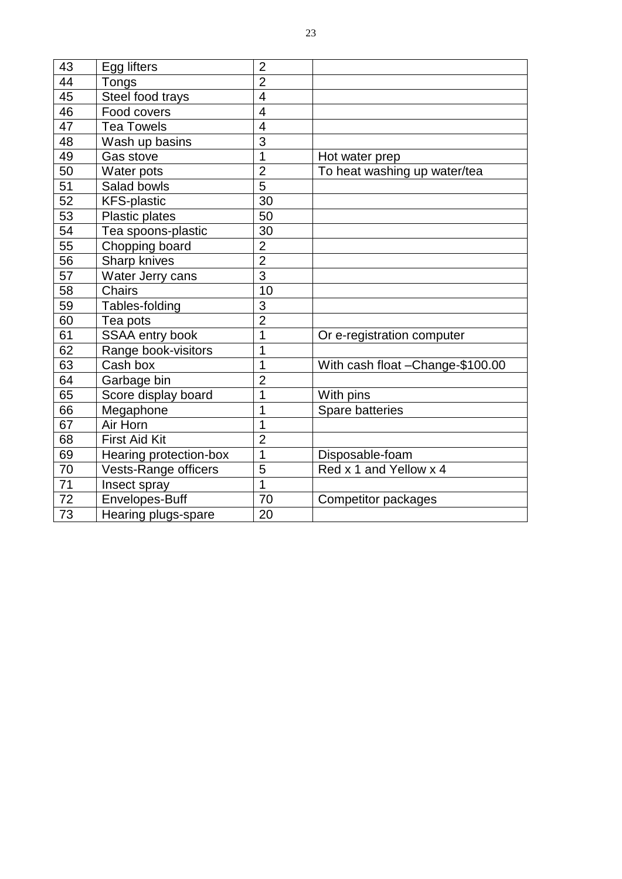| 43 | Egg lifters                 | $\overline{2}$ |                                   |
|----|-----------------------------|----------------|-----------------------------------|
| 44 | Tongs                       | $\overline{2}$ |                                   |
| 45 | Steel food trays            | $\overline{4}$ |                                   |
| 46 | Food covers                 | $\overline{4}$ |                                   |
| 47 | <b>Tea Towels</b>           | $\overline{4}$ |                                   |
| 48 | Wash up basins              | 3              |                                   |
| 49 | Gas stove                   | $\overline{1}$ | Hot water prep                    |
| 50 | Water pots                  | $\overline{2}$ | To heat washing up water/tea      |
| 51 | Salad bowls                 | 5              |                                   |
| 52 | <b>KFS-plastic</b>          | 30             |                                   |
| 53 | Plastic plates              | 50             |                                   |
| 54 | Tea spoons-plastic          | 30             |                                   |
| 55 | Chopping board              | $\overline{2}$ |                                   |
| 56 | Sharp knives                | $\overline{2}$ |                                   |
| 57 | Water Jerry cans            | 3              |                                   |
| 58 | <b>Chairs</b>               | 10             |                                   |
| 59 | Tables-folding              | 3              |                                   |
| 60 | Tea pots                    | $\overline{2}$ |                                   |
| 61 | SSAA entry book             | 1              | Or e-registration computer        |
| 62 | Range book-visitors         | 1              |                                   |
| 63 | Cash box                    | 1              | With cash float - Change-\$100.00 |
| 64 | Garbage bin                 | $\overline{2}$ |                                   |
| 65 | Score display board         | 1              | With pins                         |
| 66 | Megaphone                   | 1              | Spare batteries                   |
| 67 | Air Horn                    | 1              |                                   |
| 68 | <b>First Aid Kit</b>        | $\overline{2}$ |                                   |
| 69 | Hearing protection-box      | $\overline{1}$ | Disposable-foam                   |
| 70 | <b>Vests-Range officers</b> | 5              | Red x 1 and Yellow x 4            |
| 71 | Insect spray                | $\overline{1}$ |                                   |
| 72 | Envelopes-Buff              | 70             | <b>Competitor packages</b>        |
| 73 | Hearing plugs-spare         | 20             |                                   |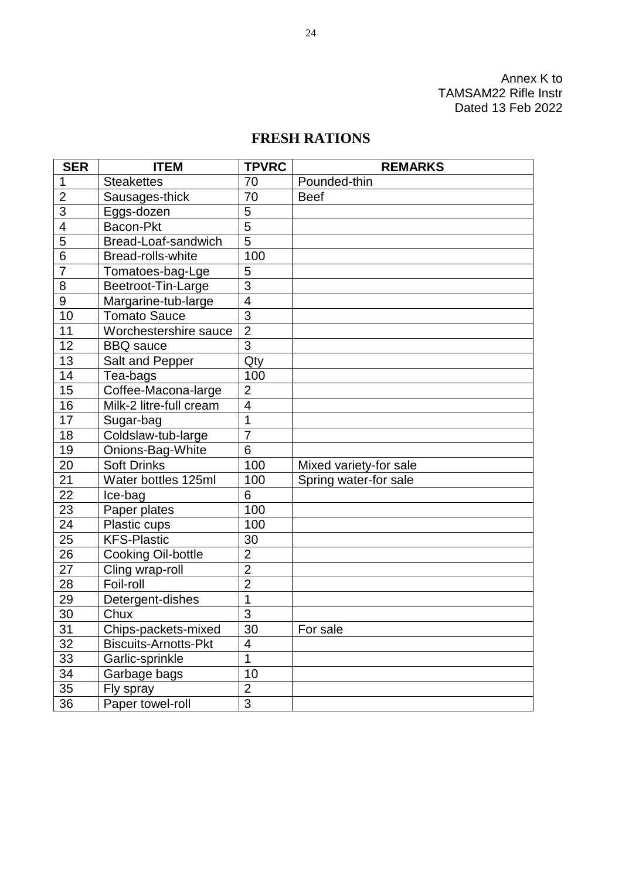Annex K to TAMSAM22 Rifle Instr Dated 13 Feb 2022

### **FRESH RATIONS**

| <b>SER</b>     | <b>ITEM</b>                 | <b>TPVRC</b>            | <b>REMARKS</b>         |  |
|----------------|-----------------------------|-------------------------|------------------------|--|
| 1              | <b>Steakettes</b>           | 70                      | Pounded-thin           |  |
| $\overline{2}$ | Sausages-thick              | 70                      | <b>Beef</b>            |  |
| 3              | Eggs-dozen                  | 5                       |                        |  |
| 4              | Bacon-Pkt                   | $\overline{5}$          |                        |  |
| 5              | Bread-Loaf-sandwich         | $\overline{5}$          |                        |  |
| 6              | <b>Bread-rolls-white</b>    | 100                     |                        |  |
| $\overline{7}$ | Tomatoes-bag-Lge            | 5                       |                        |  |
| 8              | Beetroot-Tin-Large          | $\overline{3}$          |                        |  |
| 9              | Margarine-tub-large         | $\overline{4}$          |                        |  |
| 10             | <b>Tomato Sauce</b>         | 3                       |                        |  |
| 11             | Worchestershire sauce       | $\overline{2}$          |                        |  |
| 12             | <b>BBQ</b> sauce            | 3                       |                        |  |
| 13             | Salt and Pepper             | Qty                     |                        |  |
| 14             | Tea-bags                    | 100                     |                        |  |
| 15             | Coffee-Macona-large         | $\overline{2}$          |                        |  |
| 16             | Milk-2 litre-full cream     | $\overline{\mathbf{4}}$ |                        |  |
| 17             | Sugar-bag                   | 1                       |                        |  |
| 18             | Coldslaw-tub-large          | $\overline{7}$          |                        |  |
| 19             | Onions-Bag-White            | 6                       |                        |  |
| 20             | <b>Soft Drinks</b>          | 100                     | Mixed variety-for sale |  |
| 21             | Water bottles 125ml         | 100                     | Spring water-for sale  |  |
| 22             | Ice-bag                     | 6                       |                        |  |
| 23             | Paper plates                | 100                     |                        |  |
| 24             | Plastic cups                | 100                     |                        |  |
| 25             | <b>KFS-Plastic</b>          | 30                      |                        |  |
| 26             | Cooking Oil-bottle          | $\overline{2}$          |                        |  |
| 27             | Cling wrap-roll             | $\overline{2}$          |                        |  |
| 28             | Foil-roll                   | $\overline{2}$          |                        |  |
| 29             | Detergent-dishes            | $\overline{1}$          |                        |  |
| 30             | Chux                        | 3                       |                        |  |
| 31             | Chips-packets-mixed         | 30                      | For sale               |  |
| 32             | <b>Biscuits-Arnotts-Pkt</b> | 4                       |                        |  |
| 33             | Garlic-sprinkle             | 1                       |                        |  |
| 34             | Garbage bags                | 10                      |                        |  |
| 35             | Fly spray                   | $\overline{2}$          |                        |  |
| 36             | Paper towel-roll            | $\overline{3}$          |                        |  |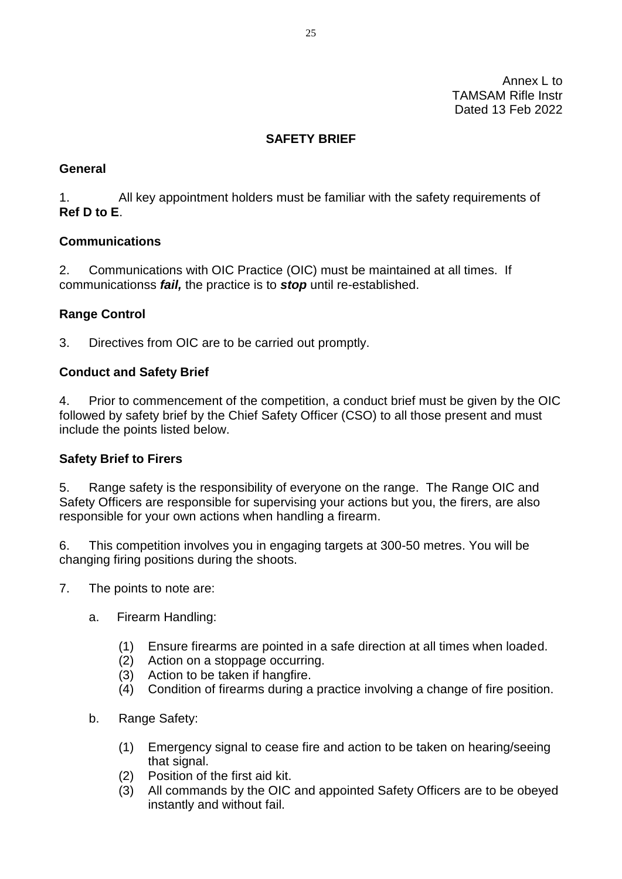Annex L to TAMSAM Rifle Instr Dated 13 Feb 2022

### **SAFETY BRIEF**

### **General**

1. All key appointment holders must be familiar with the safety requirements of **Ref D to E**.

### **Communications**

2. Communications with OIC Practice (OIC) must be maintained at all times. If communicationss *fail,* the practice is to *stop* until re-established.

### **Range Control**

3. Directives from OIC are to be carried out promptly.

### **Conduct and Safety Brief**

4. Prior to commencement of the competition, a conduct brief must be given by the OIC followed by safety brief by the Chief Safety Officer (CSO) to all those present and must include the points listed below.

### **Safety Brief to Firers**

5. Range safety is the responsibility of everyone on the range. The Range OIC and Safety Officers are responsible for supervising your actions but you, the firers, are also responsible for your own actions when handling a firearm.

6. This competition involves you in engaging targets at 300-50 metres. You will be changing firing positions during the shoots.

- 7. The points to note are:
	- a. Firearm Handling:
		- (1) Ensure firearms are pointed in a safe direction at all times when loaded.
		- (2) Action on a stoppage occurring.
		- (3) Action to be taken if hangfire.
		- (4) Condition of firearms during a practice involving a change of fire position.
	- b. Range Safety:
		- (1) Emergency signal to cease fire and action to be taken on hearing/seeing that signal.
		- (2) Position of the first aid kit.
		- (3) All commands by the OIC and appointed Safety Officers are to be obeyed instantly and without fail.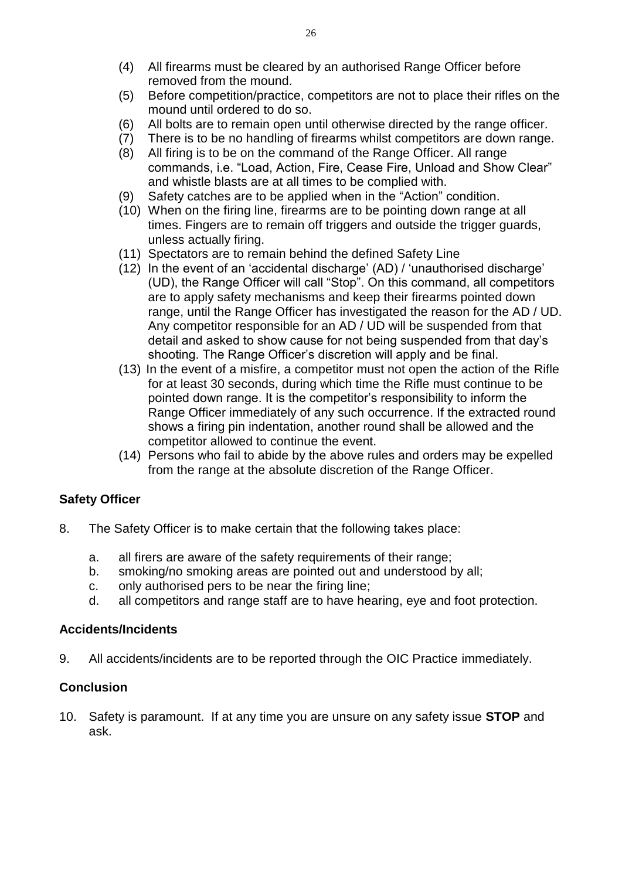- (4) All firearms must be cleared by an authorised Range Officer before removed from the mound.
- (5) Before competition/practice, competitors are not to place their rifles on the mound until ordered to do so.
- (6) All bolts are to remain open until otherwise directed by the range officer.
- (7) There is to be no handling of firearms whilst competitors are down range.
- (8) All firing is to be on the command of the Range Officer. All range commands, i.e. "Load, Action, Fire, Cease Fire, Unload and Show Clear" and whistle blasts are at all times to be complied with.
- (9) Safety catches are to be applied when in the "Action" condition.
- (10) When on the firing line, firearms are to be pointing down range at all times. Fingers are to remain off triggers and outside the trigger guards, unless actually firing.
- (11) Spectators are to remain behind the defined Safety Line
- (12) In the event of an 'accidental discharge' (AD) / 'unauthorised discharge' (UD), the Range Officer will call "Stop". On this command, all competitors are to apply safety mechanisms and keep their firearms pointed down range, until the Range Officer has investigated the reason for the AD / UD. Any competitor responsible for an AD / UD will be suspended from that detail and asked to show cause for not being suspended from that day's shooting. The Range Officer's discretion will apply and be final.
- (13) In the event of a misfire, a competitor must not open the action of the Rifle for at least 30 seconds, during which time the Rifle must continue to be pointed down range. It is the competitor's responsibility to inform the Range Officer immediately of any such occurrence. If the extracted round shows a firing pin indentation, another round shall be allowed and the competitor allowed to continue the event.
- (14) Persons who fail to abide by the above rules and orders may be expelled from the range at the absolute discretion of the Range Officer.

### **Safety Officer**

- 8. The Safety Officer is to make certain that the following takes place:
	- a. all firers are aware of the safety requirements of their range;
	- b. smoking/no smoking areas are pointed out and understood by all;
	- c. only authorised pers to be near the firing line;
	- d. all competitors and range staff are to have hearing, eye and foot protection.

### **Accidents/Incidents**

9. All accidents/incidents are to be reported through the OIC Practice immediately.

### **Conclusion**

10. Safety is paramount. If at any time you are unsure on any safety issue **STOP** and ask.